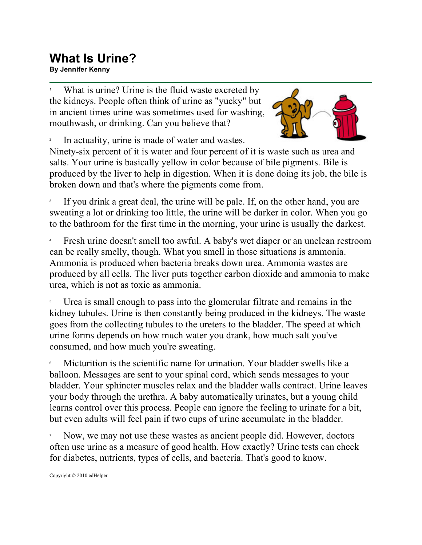## **What Is Urine? By Jennifer Kenny**

1 What is urine? Urine is the fluid waste excreted by the kidneys. People often think of urine as "yucky" but in ancient times urine was sometimes used for washing, mouthwash, or drinking. Can you believe that?



2 In actuality, urine is made of water and wastes.

Ninety-six percent of it is water and four percent of it is waste such as urea and salts. Your urine is basically yellow in color because of bile pigments. Bile is produced by the liver to help in digestion. When it is done doing its job, the bile is broken down and that's where the pigments come from.

3 If you drink a great deal, the urine will be pale. If, on the other hand, you are sweating a lot or drinking too little, the urine will be darker in color. When you go to the bathroom for the first time in the morning, your urine is usually the darkest.

4 Fresh urine doesn't smell too awful. A baby's wet diaper or an unclean restroom can be really smelly, though. What you smell in those situations is ammonia. Ammonia is produced when bacteria breaks down urea. Ammonia wastes are produced by all cells. The liver puts together carbon dioxide and ammonia to make urea, which is not as toxic as ammonia.

5 Urea is small enough to pass into the glomerular filtrate and remains in the kidney tubules. Urine is then constantly being produced in the kidneys. The waste goes from the collecting tubules to the ureters to the bladder. The speed at which urine forms depends on how much water you drank, how much salt you've consumed, and how much you're sweating.

6 Micturition is the scientific name for urination. Your bladder swells like a balloon. Messages are sent to your spinal cord, which sends messages to your bladder. Your sphincter muscles relax and the bladder walls contract. Urine leaves your body through the urethra. A baby automatically urinates, but a young child learns control over this process. People can ignore the feeling to urinate for a bit, but even adults will feel pain if two cups of urine accumulate in the bladder.

7 Now, we may not use these wastes as ancient people did. However, doctors often use urine as a measure of good health. How exactly? Urine tests can check for diabetes, nutrients, types of cells, and bacteria. That's good to know.